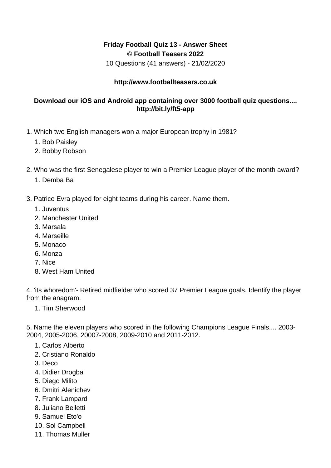## **Friday Football Quiz 13 - Answer Sheet © Football Teasers 2022**

10 Questions (41 answers) - 21/02/2020

## **http://www.footballteasers.co.uk**

## **Download our iOS and Android app containing over 3000 football quiz questions.... http://bit.ly/ft5-app**

- 1. Which two English managers won a major European trophy in 1981?
	- 1. Bob Paisley
	- 2. Bobby Robson
- 2. Who was the first Senegalese player to win a Premier League player of the month award?
	- 1. Demba Ba
- 3. Patrice Evra played for eight teams during his career. Name them.
	- 1. Juventus
	- 2. Manchester United
	- 3. Marsala
	- 4. Marseille
	- 5. Monaco
	- 6. Monza
	- 7. Nice
	- 8. West Ham United

4. 'its whoredom'- Retired midfielder who scored 37 Premier League goals. Identify the player from the anagram.

1. Tim Sherwood

5. Name the eleven players who scored in the following Champions League Finals.... 2003- 2004, 2005-2006, 20007-2008, 2009-2010 and 2011-2012.

- 1. Carlos Alberto
- 2. Cristiano Ronaldo
- 3. Deco
- 4. Didier Drogba
- 5. Diego Milito
- 6. Dmitri Alenichev
- 7. Frank Lampard
- 8. Juliano Belletti
- 9. Samuel Eto'o
- 10. Sol Campbell
- 11. Thomas Muller